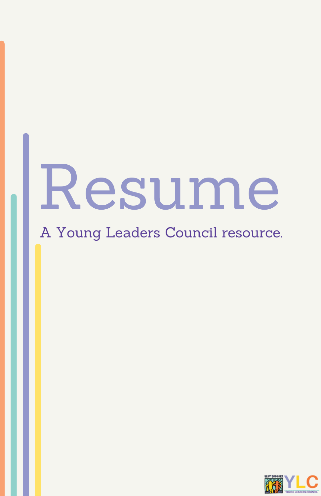# Resume

A Young Leaders Council resource.

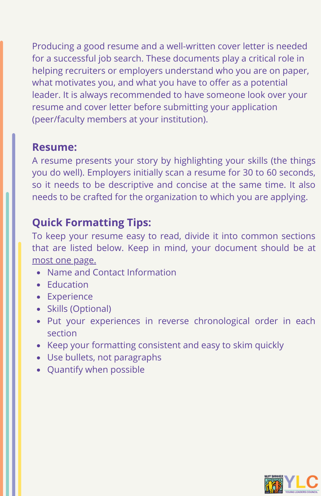Producing a good resume and a well-written cover letter is needed for a successful job search. These documents play a critical role in helping recruiters or employers understand who you are on paper, what motivates you, and what you have to offer as a potential leader. It is always recommended to have someone look over your resume and cover letter before submitting your application (peer/faculty members at your institution).

#### **Resume:**

A resume presents your story by highlighting your skills (the things you do well). Employers initially scan a resume for 30 to 60 seconds, so it needs to be descriptive and concise at the same time. It also needs to be crafted for the organization to which you are applying.

#### **Quick Formatting Tips:**

To keep your resume easy to read, divide it into common sections that are listed below. Keep in mind, your document should be at most one page.

- Name and Contact Information
- Education
- Experience
- Skills (Optional)
- Put your experiences in reverse chronological order in each section
- Keep your formatting consistent and easy to skim quickly
- Use bullets, not paragraphs
- Quantify when possible

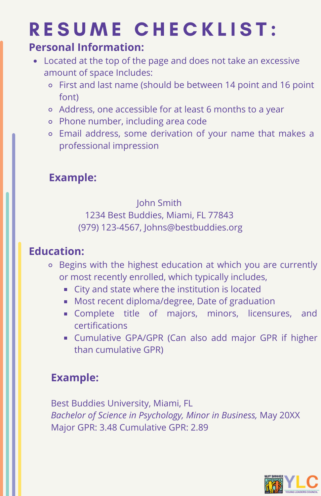## RESUME CHECKLIST:

#### **Personal Information:**

- Located at the top of the page and does not take an excessive amount of space Includes:
	- First and last name (should be between 14 point and 16 point font)
	- Address, one accessible for at least 6 months to a year
	- Phone number, including area code
	- Email address, some derivation of your name that makes a professional impression

### **Example:**

#### John Smith 1234 Best Buddies, Miami, FL 77843 (979) 123-4567, Johns@bestbuddies.org

#### **Education:**

- Begins with the highest education at which you are currently or most recently enrolled, which typically includes,
	- City and state where the institution is located
	- **Most recent diploma/degree, Date of graduation**
	- **Complete title of majors, minors, licensures, and** certifications
	- Cumulative GPA/GPR (Can also add major GPR if higher than cumulative GPR)

#### **Example:**

Best Buddies University, Miami, FL *Bachelor of Science in Psychology, Minor in Business,* May 20XX Major GPR: 3.48 Cumulative GPR: 2.89

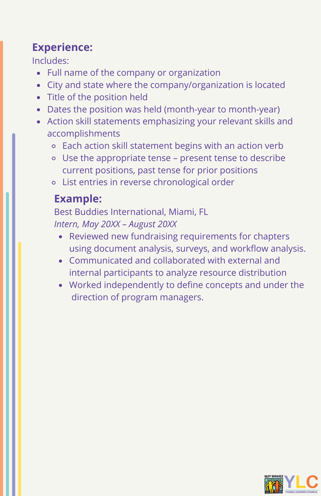#### **Experience:**

Includes:

- Full name of the company or organization
- City and state where the company/organization is located
- Title of the position held
- Dates the position was held (month-year to month-year)
- Action skill statements emphasizing your relevant skills and accomplishments
	- Each action skill statement begins with an action verb
	- Use the appropriate tense present tense to describe current positions, past tense for prior positions
	- List entries in reverse chronological order

#### **Example:**

Best Buddies International, Miami, FL *Intern, May 20XX – August 20XX*

- Reviewed new fundraising requirements for chapters using document analysis, surveys, and workflow analysis.
- Communicated and collaborated with external and internal participants to analyze resource distribution
- Worked independently to define concepts and under the direction of program managers.